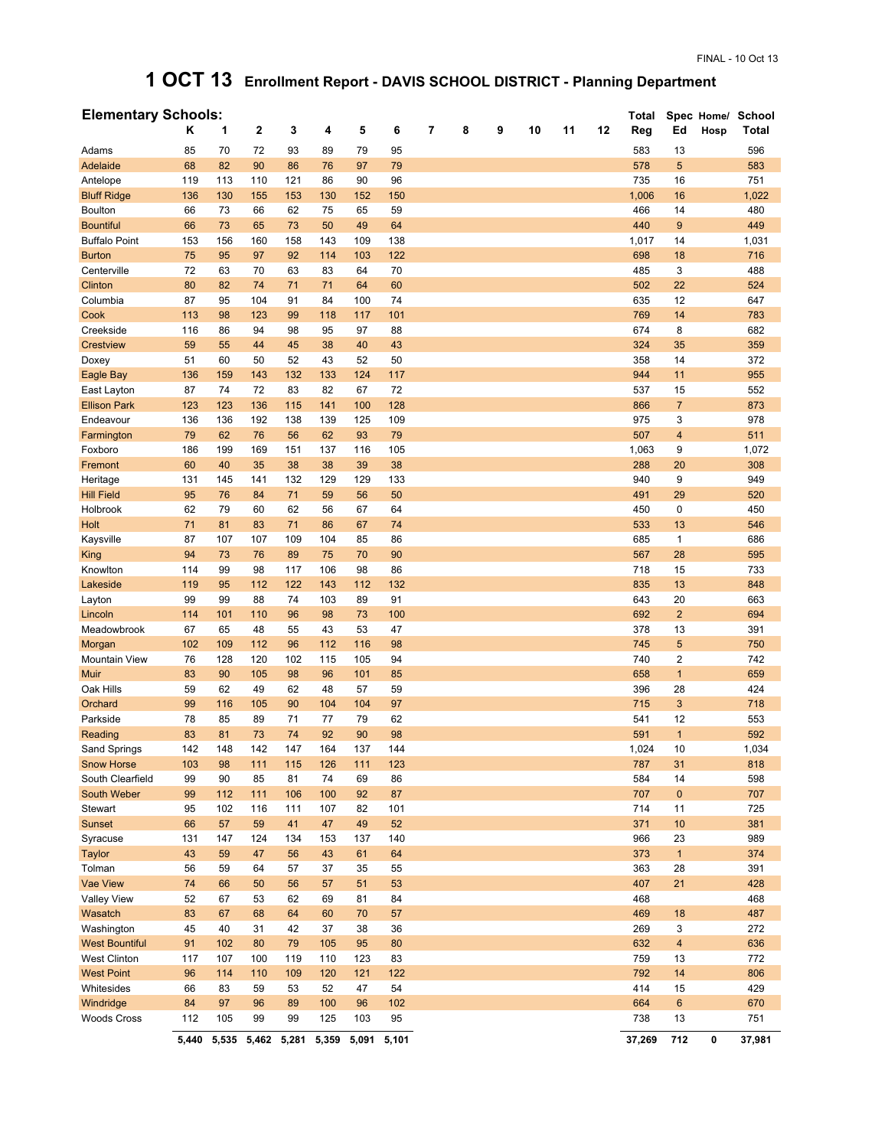## **1 OCT 13 Enrollment Report - DAVIS SCHOOL DISTRICT - Planning Department**

| <b>Elementary Schools:</b> |       |       |             |       |       |       |       |   |   |   |    |    |    | Total  |                |      | Spec Home/ School |
|----------------------------|-------|-------|-------------|-------|-------|-------|-------|---|---|---|----|----|----|--------|----------------|------|-------------------|
|                            | Κ     | 1     | $\mathbf 2$ | 3     | 4     | 5     | 6     | 7 | 8 | 9 | 10 | 11 | 12 | Reg    | Ed             | Hosp | Total             |
| Adams                      | 85    | 70    | 72          | 93    | 89    | 79    | 95    |   |   |   |    |    |    | 583    | 13             |      | 596               |
| Adelaide                   | 68    | 82    | 90          | 86    | 76    | 97    | 79    |   |   |   |    |    |    | 578    | 5              |      | 583               |
| Antelope                   | 119   | 113   | 110         | 121   | 86    | 90    | 96    |   |   |   |    |    |    | 735    | 16             |      | 751               |
| <b>Bluff Ridge</b>         | 136   | 130   | 155         | 153   | 130   | 152   | 150   |   |   |   |    |    |    | 1,006  | 16             |      | 1,022             |
| <b>Boulton</b>             | 66    | 73    | 66          | 62    | 75    | 65    | 59    |   |   |   |    |    |    | 466    | 14             |      | 480               |
| <b>Bountiful</b>           | 66    | 73    | 65          | 73    | 50    | 49    | 64    |   |   |   |    |    |    | 440    | 9              |      | 449               |
| <b>Buffalo Point</b>       | 153   | 156   | 160         | 158   | 143   | 109   | 138   |   |   |   |    |    |    | 1,017  | 14             |      | 1,031             |
| <b>Burton</b>              | 75    | 95    | 97          | 92    | 114   | 103   | 122   |   |   |   |    |    |    | 698    | 18             |      | 716               |
| Centerville                | 72    | 63    | 70          | 63    | 83    | 64    | 70    |   |   |   |    |    |    | 485    | 3              |      | 488               |
| Clinton                    | 80    | 82    | 74          | 71    | 71    | 64    | 60    |   |   |   |    |    |    | 502    | 22             |      | 524               |
| Columbia                   | 87    | 95    | 104         | 91    | 84    | 100   | 74    |   |   |   |    |    |    | 635    | 12             |      | 647               |
| Cook                       | 113   | 98    | 123         | 99    | 118   | 117   | 101   |   |   |   |    |    |    | 769    | 14             |      | 783               |
| Creekside                  | 116   | 86    | 94          | 98    | 95    | 97    | 88    |   |   |   |    |    |    | 674    | 8              |      | 682               |
| <b>Crestview</b>           | 59    | 55    | 44          | 45    | 38    | 40    | 43    |   |   |   |    |    |    | 324    | 35             |      | 359               |
| Doxey                      | 51    | 60    | 50          | 52    | 43    | 52    | 50    |   |   |   |    |    |    | 358    | 14             |      | 372               |
| Eagle Bay                  | 136   | 159   | 143         | 132   | 133   | 124   | 117   |   |   |   |    |    |    | 944    | 11             |      | 955               |
| East Layton                | 87    | 74    | 72          | 83    | 82    | 67    | 72    |   |   |   |    |    |    | 537    | 15             |      | 552               |
| <b>Ellison Park</b>        | 123   | 123   | 136         | 115   | 141   | 100   | 128   |   |   |   |    |    |    | 866    | $\overline{7}$ |      | 873               |
| Endeavour                  | 136   | 136   | 192         | 138   | 139   | 125   | 109   |   |   |   |    |    |    | 975    | 3              |      | 978               |
| Farmington                 | 79    | 62    | 76          | 56    | 62    | 93    | 79    |   |   |   |    |    |    | 507    | $\overline{4}$ |      | 511               |
| Foxboro                    | 186   | 199   | 169         | 151   | 137   | 116   | 105   |   |   |   |    |    |    | 1,063  | 9              |      | 1,072             |
| Fremont                    | 60    | 40    | 35          | 38    | 38    | 39    | 38    |   |   |   |    |    |    | 288    | 20             |      | 308               |
| Heritage                   | 131   | 145   | 141         | 132   | 129   | 129   | 133   |   |   |   |    |    |    | 940    | 9              |      | 949               |
| <b>Hill Field</b>          | 95    | 76    | 84          | 71    | 59    | 56    | 50    |   |   |   |    |    |    | 491    | 29             |      | 520               |
| Holbrook                   | 62    | 79    | 60          | 62    | 56    | 67    | 64    |   |   |   |    |    |    | 450    | 0              |      | 450               |
| Holt                       | 71    | 81    | 83          | 71    | 86    | 67    | 74    |   |   |   |    |    |    | 533    | 13             |      | 546               |
| Kaysville                  | 87    | 107   | 107         | 109   | 104   | 85    | 86    |   |   |   |    |    |    | 685    | 1              |      | 686               |
| <b>King</b>                | 94    | 73    | 76          | 89    | 75    | 70    | 90    |   |   |   |    |    |    | 567    | 28             |      | 595               |
| Knowlton                   | 114   | 99    | 98          | 117   | 106   | 98    | 86    |   |   |   |    |    |    | 718    | 15             |      | 733               |
| Lakeside                   | 119   | 95    | 112         | 122   | 143   | 112   | 132   |   |   |   |    |    |    | 835    | 13             |      | 848               |
| Layton                     | 99    | 99    | 88          | 74    | 103   | 89    | 91    |   |   |   |    |    |    | 643    | 20             |      | 663               |
| Lincoln                    | 114   | 101   | 110         | 96    | 98    | 73    | 100   |   |   |   |    |    |    | 692    | $\overline{2}$ |      | 694               |
| Meadowbrook                | 67    | 65    | 48          | 55    | 43    | 53    | 47    |   |   |   |    |    |    | 378    | 13             |      | 391               |
| Morgan                     | 102   | 109   | 112         | 96    | 112   | 116   | 98    |   |   |   |    |    |    | 745    | 5              |      | 750               |
| <b>Mountain View</b>       | 76    | 128   | 120         | 102   | 115   | 105   | 94    |   |   |   |    |    |    | 740    | 2              |      | 742               |
| Muir                       | 83    | 90    | 105         | 98    | 96    | 101   | 85    |   |   |   |    |    |    | 658    | $\mathbf{1}$   |      | 659               |
| Oak Hills                  | 59    | 62    | 49          | 62    | 48    | 57    | 59    |   |   |   |    |    |    | 396    | 28             |      | 424               |
| Orchard                    | 99    | 116   | 105         | 90    | 104   | 104   | 97    |   |   |   |    |    |    | 715    | 3              |      | 718               |
| Parkside                   | 78    | 85    | 89          | 71    | 77    | 79    | 62    |   |   |   |    |    |    | 541    | 12             |      | 553               |
| Reading                    | 83    | 81    | 73          | 74    | 92    | 90    | 98    |   |   |   |    |    |    | 591    | $\mathbf{1}$   |      | 592               |
| Sand Springs               | 142   | 148   | 142         | 147   | 164   | 137   | 144   |   |   |   |    |    |    | 1,024  | 10             |      | 1,034             |
| <b>Snow Horse</b>          | 103   | 98    | 111         | 115   | 126   | 111   | 123   |   |   |   |    |    |    | 787    | 31             |      | 818               |
| South Clearfield           | 99    | 90    | 85          | 81    | 74    | 69    | 86    |   |   |   |    |    |    | 584    | 14             |      | 598               |
| South Weber                | 99    | 112   | 111         | 106   | 100   | 92    | 87    |   |   |   |    |    |    | 707    | $\pmb{0}$      |      | 707               |
| Stewart                    | 95    | 102   | 116         | 111   | 107   | 82    | 101   |   |   |   |    |    |    | 714    | 11             |      | 725               |
| Sunset                     | 66    | 57    | 59          | 41    | 47    | 49    | 52    |   |   |   |    |    |    | 371    | 10             |      | 381               |
| Syracuse                   | 131   | 147   | 124         | 134   | 153   | 137   | 140   |   |   |   |    |    |    | 966    | 23             |      | 989               |
| Taylor                     | 43    | 59    | 47          | 56    | 43    | 61    | 64    |   |   |   |    |    |    | 373    | $\mathbf{1}$   |      | 374               |
| Tolman                     | 56    | 59    | 64          | 57    | 37    | 35    | 55    |   |   |   |    |    |    | 363    | 28             |      | 391               |
| <b>Vae View</b>            | 74    | 66    | 50          | 56    | 57    | 51    | 53    |   |   |   |    |    |    | 407    | 21             |      | 428               |
| Valley View                | 52    | 67    | 53          | 62    | 69    | 81    | 84    |   |   |   |    |    |    | 468    |                |      | 468               |
| Wasatch                    | 83    | 67    | 68          | 64    | 60    | 70    | 57    |   |   |   |    |    |    | 469    | 18             |      | 487               |
| Washington                 | 45    | 40    | 31          | 42    | 37    | 38    | 36    |   |   |   |    |    |    | 269    | 3              |      | 272               |
| <b>West Bountiful</b>      | 91    | 102   | 80          | 79    | 105   | 95    | 80    |   |   |   |    |    |    | 632    | 4              |      | 636               |
| <b>West Clinton</b>        | 117   | 107   | 100         | 119   | 110   | 123   | 83    |   |   |   |    |    |    | 759    | 13             |      | 772               |
| <b>West Point</b>          | 96    | 114   | 110         | 109   | 120   | 121   | 122   |   |   |   |    |    |    | 792    | 14             |      | 806               |
| Whitesides                 | 66    | 83    | 59          | 53    | 52    | 47    | 54    |   |   |   |    |    |    | 414    | 15             |      | 429               |
| Windridge                  | 84    | 97    | 96          | 89    | 100   | 96    | 102   |   |   |   |    |    |    | 664    | 6              |      | 670               |
| <b>Woods Cross</b>         | 112   | 105   | 99          | 99    | 125   | 103   | 95    |   |   |   |    |    |    | 738    | 13             |      | 751               |
|                            | 5,440 | 5,535 | 5,462       | 5,281 | 5,359 | 5,091 | 5,101 |   |   |   |    |    |    | 37,269 | 712            | 0    | 37,981            |